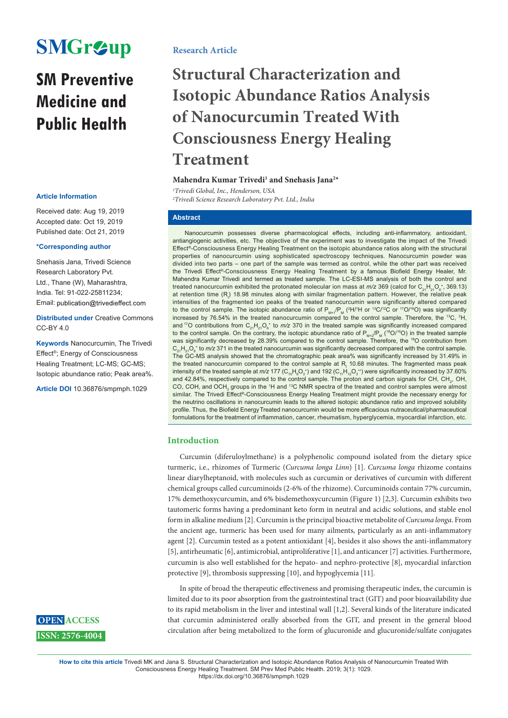# **SMGr&up**

# **SM Preventive Medicine and Public Health**

Received date: Aug 19, 2019 Accepted date: Oct 19, 2019 Published date: Oct 21, 2019

### **\*Corresponding author**

Snehasis Jana, Trivedi Science Research Laboratory Pvt. Ltd., Thane (W), Maharashtra, India. Tel: 91-022-25811234; Email: publication@trivedieffect.com

**Distributed under** Creative Commons  $CC-BY 4.0$ 

**Keywords** Nanocurcumin, The Trivedi Effect®; Energy of Consciousness Healing Treatment; LC-MS; GC-MS; Isotopic abundance ratio; Peak area%.

**Article DOI** 10.36876/smpmph.1029

# **Research Article**

# **Structural Characterization and Isotopic Abundance Ratios Analysis of Nanocurcumin Treated With Consciousness Energy Healing Treatment**

# Mahendra Kumar Trivedi<sup>1</sup> and Snehasis Jana<sup>2\*</sup>

*1 Trivedi Global, Inc., Henderson, USA* **Article Information**<br>
<sup>2</sup>Trivedi Science Research Laboratory Pvt. Ltd., India

# **Abstract**

Nanocurcumin possesses diverse pharmacological effects, including anti-inflammatory, antioxidant, antiangiogenic activities, etc. The objective of the experiment was to investigate the impact of the Trivedi Effect®-Consciousness Energy Healing Treatment on the isotopic abundance ratios along with the structural properties of nanocurcumin using sophisticated spectroscopy techniques. Nanocurcumin powder was divided into two parts – one part of the sample was termed as control, while the other part was received the Trivedi Effect®-Consciousness Energy Healing Treatment by a famous Biofield Energy Healer, Mr. Mahendra Kumar Trivedi and termed as treated sample. The LC-ESI-MS analysis of both the control and treated nanocurcumin exhibited the protonated molecular ion mass at *m/z* 369 (calcd for  ${\rm C}_{\rm 21}$ H<sub>21</sub>O<sub>6</sub>\*, 369.13) at retention time (R<sub>t</sub>) 18.98 minutes along with similar fragmentation pattern. However, the relative peak intensities of the fragmented ion peaks of the treated nanocurcumin were significantly altered compared to the control sample. The isotopic abundance ratio of  $P_{M+1}/P_M$  (<sup>2</sup>H/<sup>1</sup>H or <sup>13</sup>C/<sup>12</sup>C or <sup>17</sup>O/<sup>16</sup>O) was significantly increased by 76.54% in the treated nanocurcumin compared to the control sample. Therefore, the <sup>13</sup>C, <sup>2</sup>H, and <sup>17</sup>O contributions from  $C_{21}H_{21}O_6^*$  to *m/z* 370 in the treated sample was significantly increased compared to the control sample. On the contrary, the isotopic abundance ratio of  $P_{M+2}/P_M$  (<sup>18</sup>O/<sup>16</sup>O) in the treated sample was significantly decreased by 28.39% compared to the control sample. Therefore, the 18O contribution from  $\rm C_{21}H_{21}O_6{}^*$  to *m/z* 371 in the treated nanocurcumin was significantly decreased compared with the control sample. The GC-MS analysis showed that the chromatographic peak area% was significantly increased by 31.49% in the treated nanocurcumin compared to the control sample at  $\mathsf{R}_\mathsf{t}$  10.68 minutes. The fragmented mass peak intensity of the treated sample at *m/z* 177 (C<sub>10</sub>H<sub>9</sub>O<sub>3</sub>\*) and 192 (C<sub>11</sub>H<sub>12</sub>O<sub>3</sub>\*) were significantly increased by 37.60% and 42.84%, respectively compared to the control sample. The proton and carbon signals for CH, CH<sub>2</sub>, OH, CO, COH, and OCH $_{\tiny 3}$  groups in the 1H and 1<sup>3</sup>C NMR spectra of the treated and control samples were almost similar. The Trivedi Effect®-Consciousness Energy Healing Treatment might provide the necessary energy for the neutrino oscillations in nanocurcumin leads to the altered isotopic abundance ratio and improved solubility profile. Thus, the Biofield EnergyTreated nanocurcumin would be more efficacious nutraceutical/pharmaceutical formulations for the treatment of inflammation, cancer, rheumatism, hyperglycemia, myocardial infarction, etc.

# **Introduction**

Curcumin (diferuloylmethane) is a polyphenolic compound isolated from the dietary spice turmeric, i.e., rhizomes of Turmeric (*Curcuma longa Linn*) [1]. *Curcuma longa* rhizome contains linear diarylheptanoid, with molecules such as curcumin or derivatives of curcumin with different chemical groups called curcuminoids (2-6% of the rhizome). Curcuminoids contain 77% curcumin, 17% demethoxycurcumin, and 6% bisdemethoxycurcumin (Figure 1) [2,3]. Curcumin exhibits two tautomeric forms having a predominant keto form in neutral and acidic solutions, and stable enol form in alkaline medium [2]. Curcumin is the principal bioactive metabolite of *Curcuma longa*. From the ancient age, turmeric has been used for many ailments, particularly as an anti-inflammatory agent [2]. Curcumin tested as a potent antioxidant [4], besides it also shows the anti-inflammatory [5], antirheumatic [6], antimicrobial, antiproliferative [1], and anticancer [7] activities. Furthermore, curcumin is also well established for the hepato- and nephro-protective [8], myocardial infarction protective [9], thrombosis suppressing [10], and hypoglycemia [11].

In spite of broad the therapeutic effectiveness and promising therapeutic index, the curcumin is limited due to its poor absorption from the gastrointestinal tract (GIT) and poor bioavailability due to its rapid metabolism in the liver and intestinal wall [1,2]. Several kinds of the literature indicated that curcumin administered orally absorbed from the GIT, and present in the general blood circulation after being metabolized to the form of glucuronide and glucuronide/sulfate conjugates

**OPEN ACCESS ISSN: 2576-4004**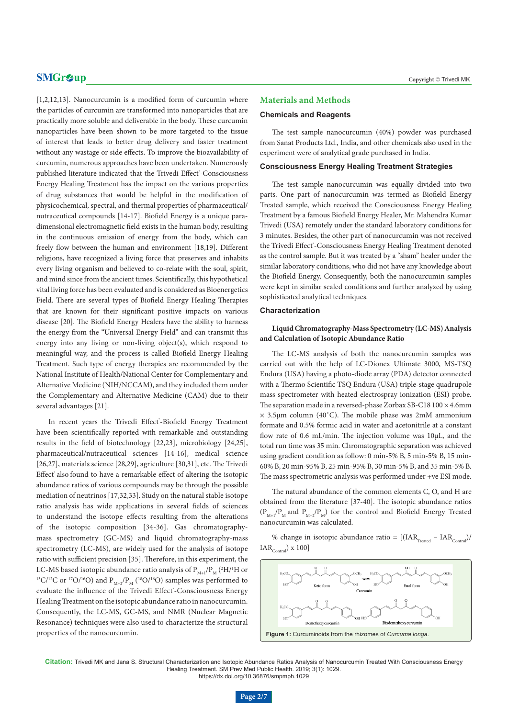[1,2,12,13]. Nanocurcumin is a modified form of curcumin where the particles of curcumin are transformed into nanoparticles that are practically more soluble and deliverable in the body. These curcumin nanoparticles have been shown to be more targeted to the tissue of interest that leads to better drug delivery and faster treatment without any wastage or side effects. To improve the bioavailability of curcumin, numerous approaches have been undertaken. Numerously published literature indicated that the Trivedi Effect\*-Consciousness Energy Healing Treatment has the impact on the various properties of drug substances that would be helpful in the modification of physicochemical, spectral, and thermal properties of pharmaceutical/ nutraceutical compounds [14-17]. Biofield Energy is a unique paradimensional electromagnetic field exists in the human body, resulting in the continuous emission of energy from the body, which can freely flow between the human and environment [18,19]. Different religions, have recognized a living force that preserves and inhabits every living organism and believed to co-relate with the soul, spirit, and mind since from the ancient times. Scientifically, this hypothetical vital living force has been evaluated and is considered as Bioenergetics Field. There are several types of Biofield Energy Healing Therapies that are known for their significant positive impacts on various disease [20]. The Biofield Energy Healers have the ability to harness the energy from the "Universal Energy Field" and can transmit this energy into any living or non-living object(s), which respond to meaningful way, and the process is called Biofield Energy Healing Treatment. Such type of energy therapies are recommended by the National Institute of Health/National Center for Complementary and Alternative Medicine (NIH/NCCAM), and they included them under the Complementary and Alternative Medicine (CAM) due to their several advantages [21].

In recent years the Trivedi Effect'-Biofield Energy Treatment have been scientifically reported with remarkable and outstanding results in the field of biotechnology [22,23], microbiology [24,25], pharmaceutical/nutraceutical sciences [14-16], medical science [26,27], materials science [28,29], agriculture [30,31], etc. The Trivedi Effect<sup>®</sup> also found to have a remarkable effect of altering the isotopic abundance ratios of various compounds may be through the possible mediation of neutrinos [17,32,33]. Study on the natural stable isotope ratio analysis has wide applications in several fields of sciences to understand the isotope effects resulting from the alterations of the isotopic composition [34-36]. Gas chromatographymass spectrometry (GC-MS) and liquid chromatography-mass spectrometry (LC-MS), are widely used for the analysis of isotope ratio with sufficient precision [35]. Therefore, in this experiment, the LC-MS based isotopic abundance ratio analysis of  $\rm P_{_{M+1}}/\rm P_{_{M}}$  ('H/'H or <sup>13</sup>C/<sup>12</sup>C or <sup>17</sup>O/<sup>16</sup>O) and P<sub>M+2</sub>/P<sub>M</sub> (<sup>18</sup>O/<sup>16</sup>O) samples was performed to evaluate the influence of the Trivedi Effect'-Consciousness Energy Healing Treatment on the isotopic abundance ratio in nanocurcumin. Consequently, the LC-MS, GC-MS, and NMR (Nuclear Magnetic Resonance) techniques were also used to characterize the structural properties of the nanocurcumin.

# **Materials and Methods**

#### **Chemicals and Reagents**

The test sample nanocurcumin (40%) powder was purchased from Sanat Products Ltd., India, and other chemicals also used in the experiment were of analytical grade purchased in India.

# **Consciousness Energy Healing Treatment Strategies**

The test sample nanocurcumin was equally divided into two parts. One part of nanocurcumin was termed as Biofield Energy Treated sample, which received the Consciousness Energy Healing Treatment by a famous Biofield Energy Healer, Mr. Mahendra Kumar Trivedi (USA) remotely under the standard laboratory conditions for 3 minutes. Besides, the other part of nanocurcumin was not received the Trivedi Effect'-Consciousness Energy Healing Treatment denoted as the control sample. But it was treated by a "sham" healer under the similar laboratory conditions, who did not have any knowledge about the Biofield Energy. Consequently, both the nanocurcumin samples were kept in similar sealed conditions and further analyzed by using sophisticated analytical techniques.

#### **Characterization**

# **Liquid Chromatography-Mass Spectrometry (LC-MS) Analysis and Calculation of Isotopic Abundance Ratio**

The LC-MS analysis of both the nanocurcumin samples was carried out with the help of LC-Dionex Ultimate 3000, MS-TSQ Endura (USA) having a photo-diode array (PDA) detector connected with a Thermo Scientific TSQ Endura (USA) triple-stage quadrupole mass spectrometer with heated electrospray ionization (ESI) probe. The separation made in a reversed-phase Zorbax SB-C18 100 × 4.6mm  $\times$  3.5µm column (40°C). The mobile phase was 2mM ammonium formate and 0.5% formic acid in water and acetonitrile at a constant flow rate of 0.6 mL/min. The injection volume was 10µL, and the total run time was 35 min. Chromatographic separation was achieved using gradient condition as follow: 0 min-5% B, 5 min-5% B, 15 min-60% B, 20 min-95% B, 25 min-95% B, 30 min-5% B, and 35 min-5% B. The mass spectrometric analysis was performed under +ve ESI mode.

The natural abundance of the common elements C, O, and H are obtained from the literature [37-40]. The isotopic abundance ratios  $(P_{M+1}/P_{M})$  and  $P_{M+2}/P_{M}$ ) for the control and Biofield Energy Treated nanocurcumin was calculated.

% change in isotopic abundance ratio =  $[(IAR<sub>Trated</sub> - IAR<sub>Cartel</sub>)/$  $IAR<sub>Control</sub>$ ) x 100]



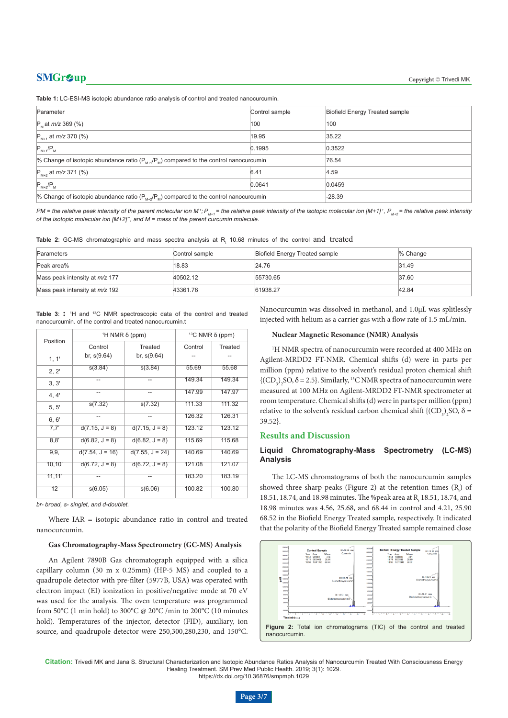**Table 1:** LC-ESI-MS isotopic abundance ratio analysis of control and treated nanocurcumin.

| Parameter                                                                                   | Control sample | <b>Biofield Energy Treated sample</b> |
|---------------------------------------------------------------------------------------------|----------------|---------------------------------------|
| $P_{M}$ at <i>m/z</i> 369 (%)                                                               | 100            | 100                                   |
| $P_{M+1}$ at $m/z$ 370 (%)                                                                  | 19.95          | 35.22                                 |
| $P_{M+1}/P_{M}$                                                                             | 0.1995         | 0.3522                                |
| % Change of isotopic abundance ratio ( $P_{M+1}/P_M$ ) compared to the control nanocurcumin | 76.54          |                                       |
| $P_{M+2}$ at <i>m/z</i> 371 (%)                                                             | 6.41           | 4.59                                  |
| $P_{M+2}/P_{M}$                                                                             | 0.0641         | 0.0459                                |
| % Change of isotopic abundance ratio $(P_{M+2}/P_M)$ compared to the control nanocurcumin   |                | $-28.39$                              |

*PM* = the relative peak intensity of the parent molecular ion M<sup>+</sup>; P<sub>M+1</sub> = the relative peak intensity of the isotopic molecular ion [M+1]<sup>+</sup>, P<sub>M+2</sub> = the relative peak intensity *of the isotopic molecular ion [M+2] +, and M = mass of the parent curcumin molecule.*

**Table 2**: GC-MS chromatographic and mass spectra analysis at R<sub>t</sub> 10.68 minutes of the control  $and$  treated

| Parameters                       | Control sample | Biofield Energy Treated sample | $%$ Change |
|----------------------------------|----------------|--------------------------------|------------|
| Peak area%                       | 18.83          | 24.76                          | 31.49      |
| Mass peak intensity at $m/z$ 177 | 40502.12       | 55730.65                       | 37.60      |
| Mass peak intensity at $m/z$ 192 | 43361.76       | 61938.27                       | 42.84      |

Table 3: : <sup>1</sup>H and <sup>13</sup>C NMR spectroscopic data of the control and treated nanocurcumin. of the control and treated nanocurcumin.t

| Position | <sup>1</sup> H NMR δ (ppm) |                   | <sup>13</sup> C NMR $\delta$ (ppm) |         |
|----------|----------------------------|-------------------|------------------------------------|---------|
|          | Control                    | Treated           | Control                            | Treated |
| 1, 1'    | br, $s(9.64)$              | br, $s(9.64)$     |                                    |         |
| 2, 2'    | s(3.84)                    | s(3.84)           | 55.69                              | 55.68   |
| 3, 3'    | --                         | --                | 149.34                             | 149.34  |
| 4, 4'    | --                         | --                | 147.99                             | 147.97  |
| 5, 5'    | s(7.32)                    | s(7.32)           | 111.33                             | 111.32  |
| 6, 6'    | --                         | --                | 126.32                             | 126.31  |
| 7,7'     | $d(7.15, J = 8)$           | $d(7.15, J = 8)$  | 123.12                             | 123.12  |
| 8,8'     | $d(6.82, J = 8)$           | $d(6.82, J = 8)$  | 115.69                             | 115.68  |
| 9, 9,    | $d(7.54, J = 16)$          | $d(7.55, J = 24)$ | 140.69                             | 140.69  |
| 10, 10'  | $d(6.72, J = 8)$           | $d(6.72, J = 8)$  | 121.08                             | 121.07  |
| 11, 11'  | --                         | --                | 183.20                             | 183.19  |
| 12       | s(6.05)                    | s(6.06)           | 100.82                             | 100.80  |

*br- broad, s- singlet, and d-doublet.*

Where IAR = isotopic abundance ratio in control and treated nanocurcumin.

# **Gas Chromatography-Mass Spectrometry (GC-MS) Analysis**

An Agilent 7890B Gas chromatograph equipped with a silica capillary column (30 m x 0.25mm) (HP-5 MS) and coupled to a quadrupole detector with pre-filter (5977B, USA) was operated with electron impact (EI) ionization in positive/negative mode at 70 eV was used for the analysis. The oven temperature was programmed from 50°C (1 min hold) to 300°C @ 20°C /min to 200°C (10 minutes hold). Temperatures of the injector, detector (FID), auxiliary, ion source, and quadrupole detector were 250,300,280,230, and 150°C. Nanocurcumin was dissolved in methanol, and 1.0µL was splitlessly injected with helium as a carrier gas with a flow rate of 1.5 mL/min.

#### **Nuclear Magnetic Resonance (NMR) Analysis**

1 H NMR spectra of nanocurcumin were recorded at 400 MHz on Agilent-MRDD2 FT-NMR. Chemical shifts (d) were in parts per million (ppm) relative to the solvent's residual proton chemical shift  ${({CD}_3)_2}SO$ ,  $\delta$  = 2.5}. Similarly, <sup>13</sup>C NMR spectra of nanocurcumin were measured at 100 MHz on Agilent-MRDD2 FT-NMR spectrometer at room temperature. Chemical shifts (d) were in parts per million (ppm) relative to the solvent's residual carbon chemical shift { $(CD_3)_2$ SO,  $\delta$  = 39.52}.

# **Results and Discussion**

# **Liquid Chromatography-Mass Spectrometry (LC-MS) Analysis**

The LC-MS chromatograms of both the nanocurcumin samples showed three sharp peaks (Figure 2) at the retention times  $(R<sub>i</sub>)$  of 18.51, 18.74, and 18.98 minutes. The %peak area at  $R_{t}$  18.51, 18.74, and 18.98 minutes was 4.56, 25.68, and 68.44 in control and 4.21, 25.90 68.52 in the Biofield Energy Treated sample, respectively. It indicated that the polarity of the Biofield Energy Treated sample remained close



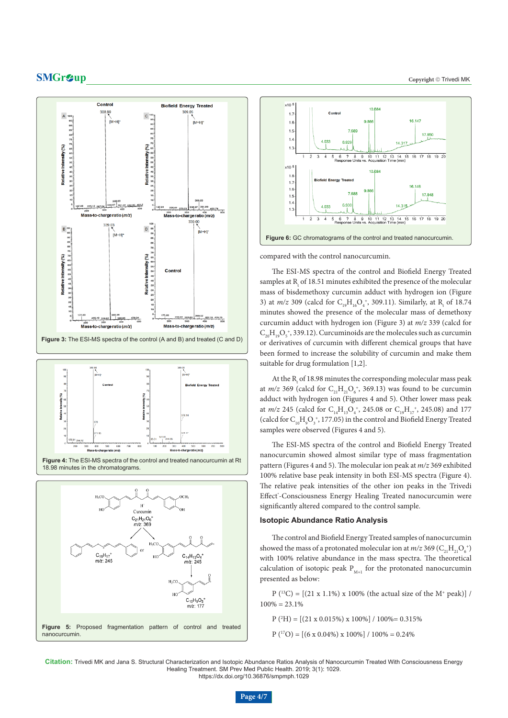











compared with the control nanocurcumin.

The ESI-MS spectra of the control and Biofield Energy Treated samples at  $R_{t}$  of 18.51 minutes exhibited the presence of the molecular mass of bisdemethoxy curcumin adduct with hydrogen ion (Figure 3) at  $m/z$  309 (calcd for  $C_{19}H_{16}O_4^+$ , 309.11). Similarly, at R<sub>t</sub> of 18.74 minutes showed the presence of the molecular mass of demethoxy curcumin adduct with hydrogen ion (Figure 3) at *m/z* 339 (calcd for  $\rm C_{20}H_{19}O_5$  , 339.12). Curcuminoids are the molecules such as curcumin or derivatives of curcumin with different chemical groups that have been formed to increase the solubility of curcumin and make them suitable for drug formulation [1,2].

At the  $\rm R_{t}$  of 18.98 minutes the corresponding molecular mass peak at  $m/z$  369 (calcd for  $C_{21}H_{21}O_6^*$ , 369.13) was found to be curcumin adduct with hydrogen ion (Figures 4 and 5). Other lower mass peak at *m/z* 245 (calcd for  $C_{14}H_{13}O_4^*$ , 245.08 or  $C_{19}H_{17}^*$ , 245.08) and 177 (calcd for  $C_{10}H_{9}O_{3}^{*}$ , 177.05) in the control and Biofield Energy Treated samples were observed (Figures 4 and 5).

The ESI-MS spectra of the control and Biofield Energy Treated nanocurcumin showed almost similar type of mass fragmentation pattern (Figures 4 and 5). The molecular ion peak at *m/z* 369 exhibited 100% relative base peak intensity in both ESI-MS spectra (Figure 4). The relative peak intensities of the other ion peaks in the Trivedi Effect'-Consciousness Energy Healing Treated nanocurcumin were significantly altered compared to the control sample.

# **Isotopic Abundance Ratio Analysis**

The control and Biofield Energy Treated samples of nanocurcumin showed the mass of a protonated molecular ion at  $m/z$  369 ( $\text{C}_{21}\text{H}_{21}\text{O}_6^{\ +}$ ) with 100% relative abundance in the mass spectra. The theoretical calculation of isotopic peak  $P_{M+1}$  for the protonated nanocurcumin presented as below:

 $P(^{13}C) = [(21 \times 1.1\%) \times 100\%$  (the actual size of the M<sup>+</sup> peak)] /  $100\% = 23.1\%$ 

 $P(^{2}H) = [(21 \times 0.015\%) \times 100\%] / 100\% = 0.315\%$ 

 $P({}^{17}O) = [(6 \times 0.04\%) \times 100\%]/100\% = 0.24\%$ 

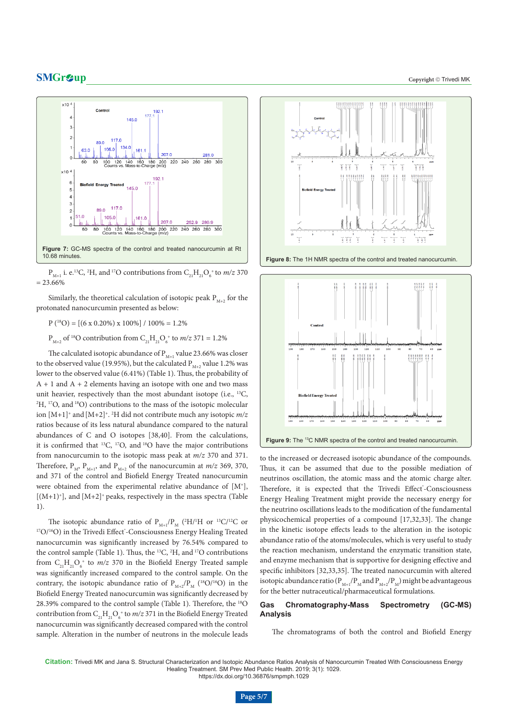

 $P_{M+1}$  i. e.<sup>13</sup>C, <sup>2</sup>H, and <sup>17</sup>O contributions from  $C_{21}H_{21}O_6^*$  to *m/z* 370  $= 23.66\%$ 

Similarly, the theoretical calculation of isotopic peak  $P_{M+2}$  for the protonated nanocurcumin presented as below:

 $P({}^{18}O) = [(6 \times 0.20\%) \times 100\%]/100\% = 1.2\%$ 

 $P_{M+2}$  of <sup>18</sup>O contribution from  $C_{21}H_{21}O_6^*$  to  $m/z$  371 = 1.2%

The calculated isotopic abundance of  $\rm P_{\scriptscriptstyle M+1}$  value 23.66% was closer to the observed value (19.95%), but the calculated  $P_{M+2}$  value 1.2% was lower to the observed value (6.41%) (Table 1). Thus, the probability of  $A + 1$  and  $A + 2$  elements having an isotope with one and two mass unit heavier, respectively than the most abundant isotope (i.e., <sup>13</sup>C, <sup>2</sup>H, <sup>17</sup>O, and <sup>18</sup>O) contributions to the mass of the isotopic molecular ion [M+1]+ and[M+2]+. 2 H did not contribute much any isotopic *m/z*  ratios because of its less natural abundance compared to the natural abundances of C and O isotopes [38,40]. From the calculations, it is confirmed that  $^{13}C$ ,  $^{17}O$ , and  $^{18}O$  have the major contributions from nanocurcumin to the isotopic mass peak at *m/z* 370 and 371. Therefore,  $P_M$ ,  $P_{M+1}$ , and  $P_{M+2}$  of the nanocurcumin at *m/z* 369, 370, and 371 of the control and Biofield Energy Treated nanocurcumin were obtained from the experimental relative abundance of  $[M^+]$ ,  $[(M+1)^+]$ , and  $[M+2]^+$  peaks, respectively in the mass spectra (Table 1).

The isotopic abundance ratio of  $P_{M+1}/P_{M}$  (<sup>2</sup>H/<sup>1</sup>H or <sup>13</sup>C/<sup>12</sup>C or <sup>17</sup>O/<sup>16</sup>O) in the Trivedi Effect<sup>\*</sup>-Consciousness Energy Healing Treated nanocurcumin was significantly increased by 76.54% compared to the control sample (Table 1). Thus, the 13C, 2 H, and 17O contributions from  $C_{21}H_{21}O_6^*$  to  $m/z$  370 in the Biofield Energy Treated sample was significantly increased compared to the control sample. On the contrary, the isotopic abundance ratio of  $P_{M+2}/P_M$  (<sup>18</sup>O/<sup>16</sup>O) in the Biofield Energy Treated nanocurcumin was significantly decreased by 28.39% compared to the control sample (Table 1). Therefore, the 18O contribution from  $C_{21}H_{21}O_6^*$  to  $m/z$  371 in the Biofield Energy Treated nanocurcumin was significantly decreased compared with the control sample. Alteration in the number of neutrons in the molecule leads



**Figure 8:** The 1H NMR spectra of the control and treated nanocurcumin.



to the increased or decreased isotopic abundance of the compounds. Thus, it can be assumed that due to the possible mediation of neutrinos oscillation, the atomic mass and the atomic charge alter. Therefore, it is expected that the Trivedi Effect<sup>\*</sup>-Consciousness Energy Healing Treatment might provide the necessary energy for the neutrino oscillations leads to the modification of the fundamental physicochemical properties of a compound [17,32,33]. The change in the kinetic isotope effects leads to the alteration in the isotopic abundance ratio of the atoms/molecules, which is very useful to study the reaction mechanism, understand the enzymatic transition state, and enzyme mechanism that is supportive for designing effective and specific inhibitors [32,33,35]. The treated nanocurcumin with altered isotopic abundance ratio ( $P_{M+1}/P_{M}$  and  $P_{M+2}/P_{M}$ ) might be advantageous for the better nutraceutical/pharmaceutical formulations.

# **Gas Chromatography-Mass Spectrometry (GC-MS) Analysis**

The chromatograms of both the control and Biofield Energy

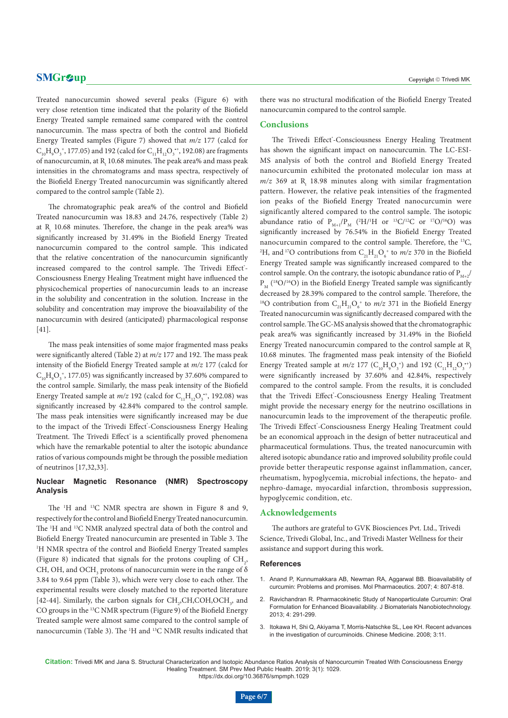Treated nanocurcumin showed several peaks (Figure 6) with very close retention time indicated that the polarity of the Biofield Energy Treated sample remained same compared with the control nanocurcumin. The mass spectra of both the control and Biofield Energy Treated samples (Figure 7) showed that *m/z* 177 (calcd for  $C_{10}H_{9}O_{3}^{*}$ , 177.05) and 192 (calcd for  $C_{11}H_{12}O_{3}^{*}$ , 192.08) are fragments of nanocurcumin, at  $\mathrm{R}_{\mathrm{t}}$  10.68 minutes. The peak area% and mass peak intensities in the chromatograms and mass spectra, respectively of the Biofield Energy Treated nanocurcumin was significantly altered compared to the control sample (Table 2).

The chromatographic peak area% of the control and Biofield Treated nanocurcumin was 18.83 and 24.76, respectively (Table 2) at  $R_{\rm t}$  10.68 minutes. Therefore, the change in the peak area% was significantly increased by 31.49% in the Biofield Energy Treated nanocurcumin compared to the control sample. This indicated that the relative concentration of the nanocurcumin significantly increased compared to the control sample. The Trivedi Effect<sup>\*</sup>-Consciousness Energy Healing Treatment might have influenced the physicochemical properties of nanocurcumin leads to an increase in the solubility and concentration in the solution. Increase in the solubility and concentration may improve the bioavailability of the nanocurcumin with desired (anticipated) pharmacological response [41].

The mass peak intensities of some major fragmented mass peaks were significantly altered (Table 2) at *m/z* 177 and 192. The mass peak intensity of the Biofield Energy Treated sample at *m/z* 177 (calcd for  $\rm C_{10}H_{9}O_3^+$ , 177.05) was significantly increased by 37.60% compared to the control sample. Similarly, the mass peak intensity of the Biofield Energy Treated sample at  $m/z$  192 (calcd for  $C_{11}H_{12}O_3^{*+}$ , 192.08) was significantly increased by 42.84% compared to the control sample. The mass peak intensities were significantly increased may be due to the impact of the Trivedi Effect\*-Consciousness Energy Healing Treatment. The Trivedi Effect<sup>\*</sup> is a scientifically proved phenomena which have the remarkable potential to alter the isotopic abundance ratios of various compounds might be through the possible mediation of neutrinos [17,32,33].

# **Nuclear Magnetic Resonance (NMR) Spectroscopy Analysis**

The <sup>1</sup>H and <sup>13</sup>C NMR spectra are shown in Figure 8 and 9, respectively for the control and Biofield Energy Treated nanocurcumin. The 1 H and 13C NMR analyzed spectral data of both the control and Biofield Energy Treated nanocurcumin are presented in Table 3. The 1 H NMR spectra of the control and Biofield Energy Treated samples (Figure 8) indicated that signals for the protons coupling of  $CH<sub>2</sub>$ , CH, OH, and OCH<sub>3</sub> protons of nanocurcumin were in the range of  $\delta$ 3.84 to 9.64 ppm (Table 3), which were very close to each other. The experimental results were closely matched to the reported literature [42-44]. Similarly, the carbon signals for  $CH_2, CH, COH, OCH_3$ , and CO groups in the 13C NMR spectrum (Figure 9) of the Biofield Energy Treated sample were almost same compared to the control sample of nanocurcumin (Table 3). The <sup>1</sup>H and <sup>13</sup>C NMR results indicated that there was no structural modification of the Biofield Energy Treated nanocurcumin compared to the control sample.

# **Conclusions**

The Trivedi Effect'-Consciousness Energy Healing Treatment has shown the significant impact on nanocurcumin. The LC-ESI-MS analysis of both the control and Biofield Energy Treated nanocurcumin exhibited the protonated molecular ion mass at  $m/z$  369 at  $R_{t}$  18.98 minutes along with similar fragmentation pattern. However, the relative peak intensities of the fragmented ion peaks of the Biofield Energy Treated nanocurcumin were significantly altered compared to the control sample. The isotopic abundance ratio of  $P_{M+1}/P_{M}$  (<sup>2</sup>H/<sup>1</sup>H or <sup>13</sup>C/<sup>12</sup>C or <sup>17</sup>O/<sup>16</sup>O) was significantly increased by 76.54% in the Biofield Energy Treated nanocurcumin compared to the control sample. Therefore, the 13C, <sup>2</sup>H, and <sup>17</sup>O contributions from  $C_{21}H_{21}O_6^*$  to *m/z* 370 in the Biofield Energy Treated sample was significantly increased compared to the control sample. On the contrary, the isotopic abundance ratio of  $P_{M+2}$ /  $P_M$  (<sup>18</sup>O/<sup>16</sup>O) in the Biofield Energy Treated sample was significantly decreased by 28.39% compared to the control sample. Therefore, the <sup>18</sup>O contribution from  $C_{21}H_{21}O_6^*$  to *m/z* 371 in the Biofield Energy Treated nanocurcumin was significantly decreased compared with the control sample. The GC-MS analysis showed that the chromatographic peak area% was significantly increased by 31.49% in the Biofield Energy Treated nanocurcumin compared to the control sample at R<sub>t</sub> 10.68 minutes. The fragmented mass peak intensity of the Biofield Energy Treated sample at  $m/z$  177 ( $C_{10}H_{9}O_{3}^{+}$ ) and 192 ( $C_{11}H_{12}O_{3}^{+}$ ) were significantly increased by 37.60% and 42.84%, respectively compared to the control sample. From the results, it is concluded that the Trivedi Effect'-Consciousness Energy Healing Treatment might provide the necessary energy for the neutrino oscillations in nanocurcumin leads to the improvement of the therapeutic profile. The Trivedi Effect'-Consciousness Energy Healing Treatment could be an economical approach in the design of better nutraceutical and pharmaceutical formulations. Thus, the treated nanocurcumin with altered isotopic abundance ratio and improved solubility profile could provide better therapeutic response against inflammation, cancer, rheumatism, hypoglycemia, microbial infections, the hepato- and nephro-damage, myocardial infarction, thrombosis suppression, hypoglycemic condition, etc.

### **Acknowledgements**

The authors are grateful to GVK Biosciences Pvt. Ltd., Trivedi Science, Trivedi Global, Inc., and Trivedi Master Wellness for their assistance and support during this work.

### **References**

- 1. Anand P, Kunnumakkara AB, Newman RA, Aggarwal BB. Bioavailability of curcumin: Problems and promises. Mol Pharmaceutics. 2007; 4: 807-818.
- 2. Ravichandran R. Pharmacokinetic Study of Nanoparticulate Curcumin: Oral Formulation for Enhanced Bioavailability. J Biomaterials Nanobiotechnology. 2013; 4: 291-299.
- 3. Itokawa H, Shi Q, Akiyama T, Morris-Natschke SL, Lee KH. Recent advances in the investigation of curcuminoids. Chinese Medicine. 2008; 3:11.